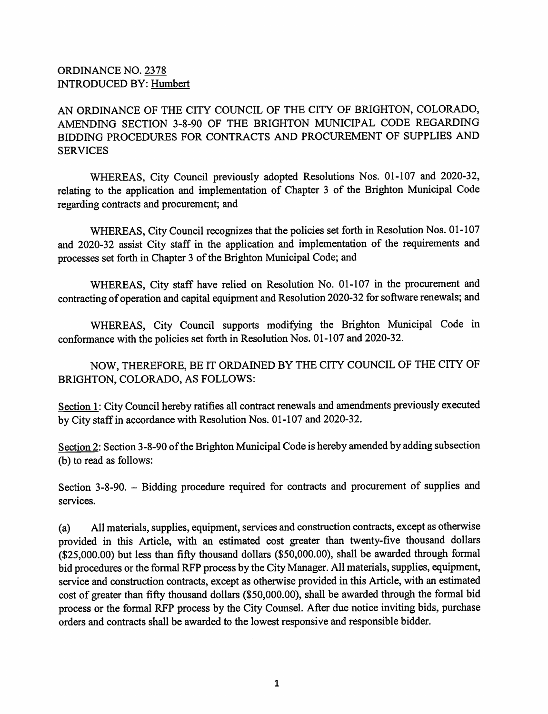## ORDINANCE NO. 2378 INTRODUCED BY: Humbert

AN ORDINANCE OF THE CITY COUNCIL OF THE CITY OF BRIGHTON, COLORADO, AMENDING SECTION 3-8-90 OF THE BRIGHTON MUNICIPAL CODE REGARDING BIDDING PROCEDURES FOR CONTRACTS AND PROCUREMENT OF SUPPLIES AND SERVICES

WHEREAS, City Council previously adopted Resolutions Nos. 01-107 and 2020-32, relating to the application and implementation of Chapter 3 of the Brighton Municipal Code regarding contracts and procurement; and

WHEREAS, City Council recognizes that the policies set forth in Resolution Nos. 01-107 and 2020-32 assist City staff in the application and implementation of the requirements and processes set forth in Chapter 3 of the Brighton Municipal Code; and

WHEREAS, City staff have relied on Resolution No. 01-107 in the procurement and contracting of operation and capital equipment and Resolution 2020-32 for software renewals; and

WHEREAS, City Council supports modifying the Brighton Municipal Code in conformance with the policies set forth in Resolution Nos. 01-107 and 2020-32.

NOW, THEREFORE, BE IT ORDAINED BY THE CITY COUNCIL OF THE CITY OF BRIGHTON, COLORADO, AS FOLLOWS:

Section 1: City Council hereby ratifies all contract renewals and amendments previously executed by City staff in accordance with Resolution Nos. 01-107 and 2020-32.

Section 2: Section 3-8-90 of the Brighton Municipal Code is hereby amended by adding subsection (b) to read as follows:

Section 3-8-90. - Bidding procedure required for contracts and procurement of supplies and services.

All materials, supplies, equipment, services and construction contracts, except as otherwise provided in this Article, with an estimated cost greater than twenty-five thousand dollars (\$25,000.00) but less than fifty thousand dollars (\$50,000.00), shall be awarded through formal bid procedures or the formal RFP process by the City Manager. All materials, supplies, equipment, service and construction contracts, except as otherwise provided in this Article, with an estimated cost of greater than fifty thousand dollars (\$50,000.00), shall be awarded through the formal bid process or the formal RFP process by the City Counsel. After due notice inviting bids, purchase orders and contracts shall be awarded to the lowest responsive and responsible bidder. (a)